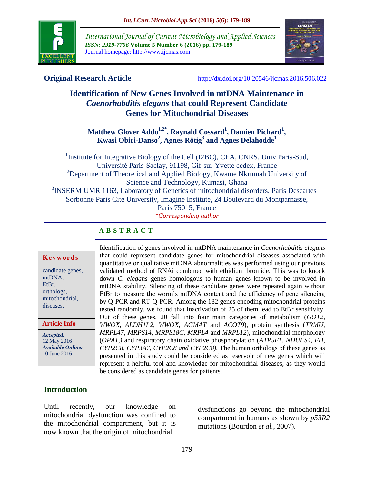

*International Journal of Current Microbiology and Applied Sciences ISSN: 2319-7706* **Volume 5 Number 6 (2016) pp. 179-189** Journal homepage: http://www.ijcmas.com



**Original Research Article** <http://dx.doi.org/10.20546/ijcmas.2016.506.022>

# **Identification of New Genes Involved in mtDNA Maintenance in**  *Caenorhabditis elegans* **that could Represent Candidate Genes for Mitochondrial Diseases**

**Matthew Glover Addo1,2\* , Raynald Cossard<sup>1</sup> , Damien Pichard<sup>1</sup> , Kwasi Obiri-Danso<sup>2</sup> , Agnes Rötig<sup>3</sup> and Agnes Delahodde<sup>1</sup>**

<sup>1</sup> Institute for Integrative Biology of the Cell (I2BC), CEA, CNRS, Univ Paris-Sud, Université Paris-Saclay, 91198, Gif-sur-Yvette cedex, France <sup>2</sup>Department of Theoretical and Applied Biology, Kwame Nkrumah University of Science and Technology, Kumasi, Ghana <sup>3</sup>INSERM UMR 1163, Laboratory of Genetics of mitochondrial disorders, Paris Descartes -Sorbonne Paris Cité University, Imagine Institute, 24 Boulevard du Montparnasse, Paris 75015, France *\*Corresponding author*

## **A B S T R A C T**

#### **K e y w o r d s**

candidate genes, mtDNA, EtBr, orthologs, mitochondrial, diseases.

**Article Info**

*Accepted:*  12 May 2016 *Available Online:* 10 June 2016

Identification of genes involved in mtDNA maintenance in *Caenorhabditis elegans*  that could represent candidate genes for mitochondrial diseases associated with quantitative or qualitative mtDNA abnormalities was performed using our previous validated method of RNAi combined with ethidium bromide. This was to knock down *C. elegans* genes homologous to human genes known to be involved in mtDNA stability. Silencing of these candidate genes were repeated again without EtBr to measure the worm's mtDNA content and the efficiency of gene silencing by Q-PCR and RT-Q-PCR. Among the 182 genes encoding mitochondrial proteins tested randomly, we found that inactivation of 25 of them lead to EtBr sensitivity. Out of these genes, 20 fall into four main categories of metabolism (*GOT2, WWOX, ALDH1L2, WWOX, AGMAT* and *ACOT9*), protein synthesis (*TRMU, MRPL47, MRPS14, MRPS18C, MRPL4* and *MRPL12*), mitochondrial morphology (*OPA1,)* and respiratory chain oxidative phosphorylation (*ATP5F1, NDUFS4, FH, CYP2C8, CYP3A7, CYP2C8 and CYP2C8).* The human orthologs of these genes as presented in this study could be considered as reservoir of new genes which will represent a helpful tool and knowledge for mitochondrial diseases, as they would be considered as candidate genes for patients.

## **Introduction**

Until recently, our knowledge on mitochondrial dysfunction was confined to the mitochondrial compartment, but it is now known that the origin of mitochondrial

dysfunctions go beyond the mitochondrial compartment in humans as shown by *p53R2*  mutations (Bourdon *et al.*, 2007).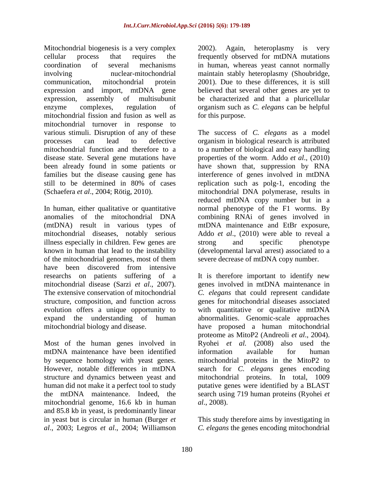Mitochondrial biogenesis is a very complex cellular process that requires the coordination of several mechanisms involving nuclear-mitochondrial communication, mitochondrial protein expression and import, mtDNA gene expression, assembly of multisubunit enzyme complexes, regulation of mitochondrial fission and fusion as well as mitochondrial turnover in response to various stimuli. Disruption of any of these processes can lead to defective mitochondrial function and therefore to a disease state. Several gene mutations have been already found in some patients or families but the disease causing gene has still to be determined in 80% of cases (Schaefera *et al*., 2004; Rötig, 2010).

In human, either qualitative or quantitative anomalies of the mitochondrial DNA (mtDNA) result in various types of mitochondrial diseases, notably serious illness especially in children. Few genes are known in human that lead to the instability of the mitochondrial genomes, most of them have been discovered from intensive researchs on patients suffering of a mitochondrial disease (Sarzi *et al*., 2007). The extensive conservation of mitochondrial structure, composition, and function across evolution offers a unique opportunity to expand the understanding of human mitochondrial biology and disease.

Most of the human genes involved in mtDNA maintenance have been identified by sequence homology with yeast genes. However, notable differences in mtDNA structure and dynamics between yeast and human did not make it a perfect tool to study the mtDNA maintenance. Indeed, the mitochondrial genome, 16.6 kb in human and 85.8 kb in yeast, is predominantly linear in yeast but is circular in human (Burger *et al*., 2003; Legros *et al*., 2004; Williamson

2002). Again, heteroplasmy is very frequently observed for mtDNA mutations in human, whereas yeast cannot normally maintain stably heteroplasmy (Shoubridge, 2001). Due to these differences, it is still believed that several other genes are yet to be characterized and that a pluricellular organism such as *C. elegans* can be helpful for this purpose.

The success of *C. elegans* as a model organism in biological research is attributed to a number of biological and easy handling properties of the worm. Addo *et al*., (2010) have shown that, suppression by RNA interference of genes involved in mtDNA replication such as polg-1, encoding the mitochondrial DNA polymerase, results in reduced mtDNA copy number but in a normal phenotype of the F1 worms. By combining RNAi of genes involved in mtDNA maintenance and EtBr exposure, Addo *et al*., (2010) were able to reveal a strong and specific phenotype (developmental larval arrest) associated to a severe decrease of mtDNA copy number.

It is therefore important to identify new genes involved in mtDNA maintenance in *C. elegans* that could represent candidate genes for mitochondrial diseases associated with quantitative or qualitative mtDNA abnormalities. Genomic-scale approaches have proposed a human mitochondrial proteome as MitoP2 (Andreoli *et al*., 2004). Ryohei *et al.* (2008) also used the information available for human mitochondrial proteins in the MitoP2 to search for *C. elegans* genes encoding mitochondrial proteins. In total, 1009 putative genes were identified by a BLAST search using 719 human proteins (Ryohei *et al*., 2008).

This study therefore aims by investigating in *C. elegans* the genes encoding mitochondrial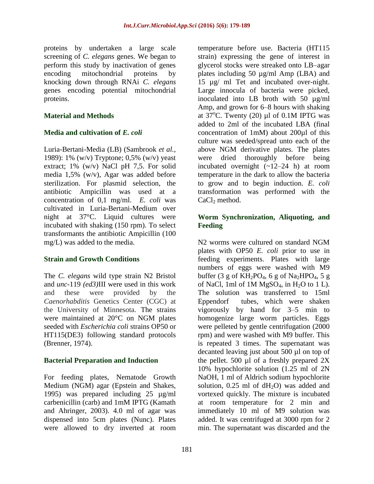proteins by undertaken a large scale screening of *C. elegans* genes. We began to perform this study by inactivation of genes encoding mitochondrial proteins by knocking down through RNAi *C. elegans*  genes encoding potential mitochondrial proteins.

### **Material and Methods**

### **Media and cultivation of** *E. coli*

Luria-Bertani-Media (LB) (Sambrook *et al.,* 1989): 1% (w/v) Tryptone; 0,5% (w/v) yeast extract; 1% (w/v) NaCl pH 7,5. For solid media 1,5% (w/v), Agar was added before sterilization. For plasmid selection, the antibiotic Ampicillin was used at a concentration of 0,1 mg/ml. *E. coli* was cultivated in Luria-Bertani-Medium over night at 37°C. Liquid cultures were incubated with shaking (150 rpm). To select transformants the antibiotic Ampicillin (100 mg/L) was added to the media.

## **Strain and Growth Conditions**

The *C. elegans* wild type strain N2 Bristol and *unc*-119 *(ed3)*III were used in this work and these were provided by the *Caenorhabditis* Genetics Center (CGC) at the University of Minnesota. The strains were maintained at 20°C on NGM plates seeded with *Escherichia coli* strains OP50 or HT115(DE3) following standard protocols (Brenner, 1974).

#### **Bacterial Preparation and Induction**

For feeding plates, Nematode Growth Medium (NGM) agar (Epstein and Shakes, 1995) was prepared including 25 µg/ml carbenicillin (carb) and 1mM IPTG (Kamath and Ahringer, 2003). 4.0 ml of agar was dispensed into 5cm plates (Nunc). Plates were allowed to dry inverted at room

temperature before use. Bacteria (HT115 strain) expressing the gene of interest in glycerol stocks were streaked onto LB–agar plates including 50 µg/ml Amp (LBA) and 15 µg/ ml Tet and incubated over-night. Large innocula of bacteria were picked, inoculated into LB broth with 50 µg/ml Amp, and grown for 6–8 hours with shaking at  $37^{\circ}$ C. Twenty (20) µl of 0.1M IPTG was added to 2ml of the incubated LBA (final concentration of 1mM) about 200µl of this culture was seeded/spread unto each of the above NGM derivative plates. The plates were dried thoroughly before being incubated overnight  $(-12-24)$  h) at room temperature in the dark to allow the bacteria to grow and to begin induction. *E. coli*  transformation was performed with the  $CaCl<sub>2</sub>$  method.

### **Worm Synchronization, Aliquoting, and Feeding**

N2 worms were cultured on standard NGM plates with OP50 *E. coli* prior to use in feeding experiments. Plates with large numbers of eggs were washed with M9 buffer (3 g of  $KH_2PO_4$ , 6 g of Na<sub>2</sub>HPO<sub>4</sub>, 5 g of NaCl, 1ml of 1M  $MgSO<sub>4</sub>$ , in H<sub>2</sub>O to 1 L). The solution was transferred to 15ml Eppendorf tubes, which were shaken vigorously by hand for 3–5 min to homogenize large worm particles. Eggs were pelleted by gentle centrifugation (2000 rpm) and were washed with M9 buffer. This is repeated 3 times. The supernatant was decanted leaving just about 500 µl on top of the pellet. 500  $\mu$ l of a freshly prepared 2X 10% hypochlorite solution (1.25 ml of 2N NaOH, 1 ml of Aldrich sodium hypochlorite solution,  $0.25$  ml of  $dH<sub>2</sub>O$ ) was added and vortexed quickly. The mixture is incubated at room temperature for 2 min and immediately 10 ml of M9 solution was added. It was centrifuged at 3000 rpm for 2 min. The supernatant was discarded and the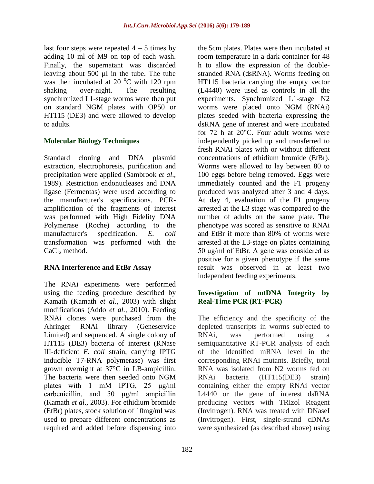last four steps were repeated  $4 - 5$  times by adding 10 ml of M9 on top of each wash. Finally, the supernatant was discarded leaving about 500 µl in the tube. The tube was then incubated at 20 $\degree$ C with 120 rpm shaking over-night. The resulting synchronized L1-stage worms were then put on standard NGM plates with OP50 or HT115 (DE3) and were allowed to develop to adults.

### **Molecular Biology Techniques**

Standard cloning and DNA plasmid extraction, electrophoresis, purification and precipitation were applied (Sambrook *et al*., 1989). Restriction endonucleases and DNA ligase (Fermentas) were used according to the manufacturer's specifications. PCRamplification of the fragments of interest was performed with High Fidelity DNA Polymerase (Roche) according to the manufacturer's specification. *E. coli*  transformation was performed with the  $CaCl<sub>2</sub>$  method.

#### **RNA Interference and EtBr Assay**

The RNAi experiments were performed using the feeding procedure described by Kamath (Kamath *et al*., 2003) with slight modifications (Addo *et al.,* 2010). Feeding RNAi clones were purchased from the Ahringer RNAi library (Geneservice Limited) and sequenced. A single colony of HT115 (DE3) bacteria of interest (RNase III-deficient *E. coli* strain, carrying IPTG inducible T7-RNA polymerase) was first grown overnight at 37°C in LB-ampicillin. The bacteria were then seeded onto NGM plates with 1 mM IPTG, 25 μg/ml carbenicillin, and 50 μg/ml ampicillin (Kamath *et al*., 2003). For ethidium bromide (EtBr) plates, stock solution of 10mg/ml was used to prepare different concentrations as required and added before dispensing into

the 5cm plates. Plates were then incubated at room temperature in a dark container for 48 h to allow the expression of the doublestranded RNA (dsRNA). Worms feeding on HT115 bacteria carrying the empty vector (L4440) were used as controls in all the experiments. Synchronized L1-stage N2 worms were placed onto NGM (RNAi) plates seeded with bacteria expressing the dsRNA gene of interest and were incubated for 72 h at 20°C. Four adult worms were independently picked up and transferred to fresh RNAi plates with or without different concentrations of ethidium bromide (EtBr). Worms were allowed to lay between 80 to 100 eggs before being removed. Eggs were immediately counted and the F1 progeny produced was analyzed after 3 and 4 days. At day 4, evaluation of the F1 progeny arrested at the L3 stage was compared to the number of adults on the same plate. The phenotype was scored as sensitive to RNAi and EtBr if more than 80% of worms were arrested at the L3-stage on plates containing 50 μg/ml of EtBr. A gene was considered as positive for a given phenotype if the same result was observed in at least two independent feeding experiments.

### **Investigation of mtDNA Integrity by Real-Time PCR (RT-PCR)**

The efficiency and the specificity of the depleted transcripts in worms subjected to RNAi, was performed using a semiquantitative RT-PCR analysis of each of the identified mRNA level in the corresponding RNAi mutants. Briefly, total RNA was isolated from N2 worms fed on RNAi bacteria (HT115(DE3) strain) containing either the empty RNAi vector L4440 or the gene of interest dsRNA producing vectors with TRIzol Reagent (Invitrogen). RNA was treated with DNaseI (Invitrogen). First, single-strand cDNAs were synthesized (as described above) using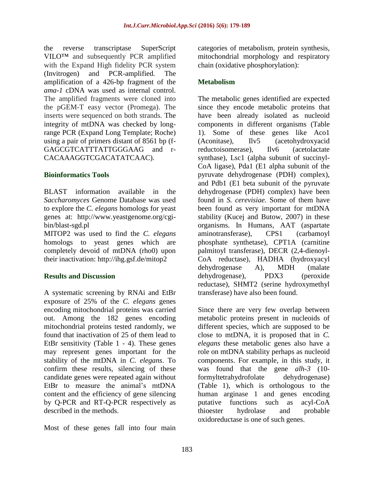the reverse transcriptase SuperScript VILO™ and subsequently PCR amplified with the Expand High fidelity PCR system (Invitrogen) and PCR-amplified. The amplification of a 426-bp fragment of the *ama-1* cDNA was used as internal control. The amplified fragments were cloned into the pGEM-T easy vector (Promega). The inserts were sequenced on both strands. The integrity of mtDNA was checked by longrange PCR (Expand Long Template; Roche) using a pair of primers distant of 8561 bp (f-GAGCGTCATTTATTGGGAAG and r-CACAAAGGTCGACATATCAAC).

### **Bioinformatics Tools**

BLAST information available in the *Saccharomyces* Genome Database was used to explore the *C. elegans* homologs for yeast genes at: [http://www.yeastgenome.org/cgi](http://www.yeastgenome.org/cgi-bin/blast-sgd.pl)[bin/blast-sgd.pl](http://www.yeastgenome.org/cgi-bin/blast-sgd.pl)

MITOP2 was used to find the *C. elegans* homologs to yeast genes which are completely devoid of mtDNA (rho0) upon their inactivation:<http://ihg.gsf.de/mitop2>

#### **Results and Discussion**

A systematic screening by RNAi and EtBr exposure of 25% of the *C. elegans* genes encoding mitochondrial proteins was carried out. Among the 182 genes encoding mitochondrial proteins tested randomly, we found that inactivation of 25 of them lead to EtBr sensitivity (Table 1 - 4). These genes may represent genes important for the stability of the mtDNA in *C. elegans*. To confirm these results, silencing of these candidate genes were repeated again without EtBr to measure the animal's mtDNA content and the efficiency of gene silencing by Q-PCR and RT-Q-PCR respectively as described in the methods.

Most of these genes fall into four main

categories of metabolism, protein synthesis, mitochondrial morphology and respiratory chain (oxidative phosphorylation):

## **Metabolism**

The metabolic genes identified are expected since they encode metabolic proteins that have been already isolated as nucleoid components in different organisms (Table 1). Some of these genes like Aco1 (Aconitase), Ilv5 (acetohydroxyacid reductoisomerase), Ilv6 (acetolactate synthase), Lsc1 (alpha subunit of succinyl-CoA ligase), Pda1 (E1 alpha subunit of the pyruvate dehydrogenase (PDH) complex), and Pdb1 (E1 beta subunit of the pyruvate dehydrogenase (PDH) complex) have been found in *S. cerevisiae.* Some of them have been found as very important for mtDNA stability (Kucej and Butow, 2007) in these organisms. In Humans, AAT (aspartate aminotransferase), CPS1 (carbamoyl phosphate synthetase), CPT1A (carnitine palmitoyl transferase), DECR (2,4-dienoyl-CoA reductase), HADHA (hydroxyacyl dehydrogenase A), MDH (malate dehydrogenase), PDX3 (peroxide reductase), SHMT2 (serine hydroxymethyl transferase) have also been found.

Since there are very few overlap between metabolic proteins present in nucleoids of different species, which are supposed to be close to mtDNA, it is proposed that in *C. elegans* these metabolic genes also have a role on mtDNA stability perhaps as nucleoid components. For example, in this study, it was found that the gene *alh-3* (10 formyltetrahydrofolate dehydrogenase) (Table 1), which is orthologous to the human arginase 1 and genes encoding putative functions such as acyl-CoA thioester hydrolase and probable oxidoreductase is one of such genes.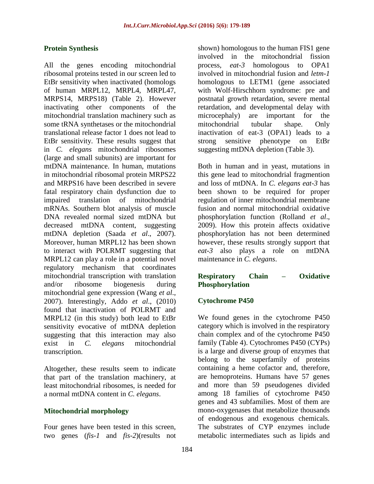#### **Protein Synthesis**

All the genes encoding mitochondrial ribosomal proteins tested in our screen led to EtBr sensitivity when inactivated (homologs of human MRPL12, MRPL4, MRPL47, MRPS14, MRPS18) (Table 2). However inactivating other components of the mitochondrial translation machinery such as some tRNA synthetases or the mitochondrial translational release factor 1 does not lead to EtBr sensitivity. These results suggest that in *C. elegans* mitochondrial ribosomes (large and small subunits) are important for mtDNA maintenance. In human, mutations in mitochondrial ribosomal protein MRPS22 and MRPS16 have been described in severe fatal respiratory chain dysfunction due to impaired translation of mitochondrial mRNAs. Southern blot analysis of muscle DNA revealed normal sized mtDNA but decreased mtDNA content, suggesting mtDNA depletion (Saada *et al*., 2007). Moreover, human MRPL12 has been shown to interact with POLRMT suggesting that MRPL12 can play a role in a potential novel regulatory mechanism that coordinates mitochondrial transcription with translation and/or ribosome biogenesis during mitochondrial gene expression (Wang *et al*., 2007). Interestingly, Addo *et al*., (2010) found that inactivation of POLRMT and MRPL12 (in this study) both lead to EtBr sensitivity evocative of mtDNA depletion suggesting that this interaction may also exist in *C. elegans* mitochondrial transcription.

Altogether, these results seem to indicate that part of the translation machinery, at least mitochondrial ribosomes, is needed for a normal mtDNA content in *C. elegans*.

#### **Mitochondrial morphology**

Four genes have been tested in this screen, two genes (*fis-1* and *fis-2*)(results not

shown) homologous to the human FIS1 gene involved in the mitochondrial fission process, *eat-3* homologous to OPA1 involved in mitochondrial fusion and *letm-1* homologous to LETM1 (gene associated with Wolf-Hirschhorn syndrome: pre and postnatal growth retardation, severe mental retardation, and developmental delay with microcephaly) are important for the mitochondrial tubular shape. Only inactivation of eat-3 (OPA1) leads to a strong sensitive phenotype on EtBr suggesting mtDNA depletion (Table 3).

Both in human and in yeast, mutations in this gene lead to mitochondrial fragmention and loss of mtDNA. In *C. elegans eat-3* has been shown to be required for proper regulation of inner mitochondrial membrane fusion and normal mitochondrial oxidative phosphorylation function (Rolland *et al*., 2009). How this protein affects oxidative phosphorylation has not been determined however, these results strongly support that *eat-3* also plays a role on mtDNA maintenance in *C. elegans*.

#### **Respiratory Chain – Oxidative Phosphorylation**

#### **Cytochrome P450**

We found genes in the cytochrome P450 category which is involved in the respiratory chain complex and of the cytochrome P450 family (Table 4). Cytochromes P450 (CYPs) is a large and diverse group of enzymes that belong to the superfamily of proteins containing a heme cofactor and, therefore, are hemoproteins. Humans have 57 genes and more than 59 pseudogenes divided among 18 families of cytochrome P450 genes and 43 subfamilies. Most of them are mono-oxygenases that metabolize thousands of endogenous and exogenous chemicals. The substrates of CYP enzymes include metabolic intermediates such as lipids and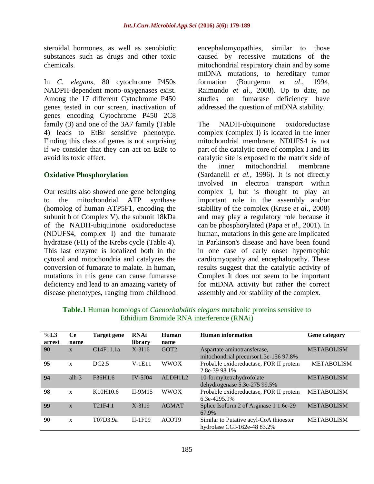steroidal hormones, as well as xenobiotic substances such as drugs and other toxic chemicals.

In *C. elegans*, 80 cytochrome P450s NADPH-dependent mono-oxygenases exist. Among the 17 different Cytochrome P450 genes tested in our screen, inactivation of genes encoding Cytochrome P450 2C8 family (3) and one of the 3A7 family (Table 4) leads to EtBr sensitive phenotype. Finding this class of genes is not surprising if we consider that they can act on EtBr to avoid its toxic effect.

#### **Oxidative Phosphorylation**

Our results also showed one gene belonging to the mitochondrial ATP synthase (homolog of human ATP5F1, encoding the subunit b of Complex V), the subunit 18kDa of the NADH-ubiquinone oxidoreductase (NDUFS4, complex I) and the fumarate hydratase (FH) of the Krebs cycle (Table 4). This last enzyme is localized both in the cytosol and mitochondria and catalyzes the conversion of fumarate to malate. In human, mutations in this gene can cause fumarase deficiency and lead to an amazing variety of disease phenotypes, ranging from childhood

encephalomyopathies, similar to those caused by recessive mutations of the mitochondrial respiratory chain and by some mtDNA mutations, to hereditary tumor formation (Bourgeron *et al*., 1994, Raimundo *et al*., 2008). Up to date, no studies on fumarase deficiency have addressed the question of mtDNA stability.

The NADH-ubiquinone oxidoreductase complex (complex I) is located in the inner mitochondrial membrane. NDUFS4 is not part of the catalytic core of complex I and its catalytic site is exposed to the matrix side of the inner mitochondrial membrane (Sardanelli *et al.*, 1996). It is not directly involved in electron transport within complex I, but is thought to play an important role in the assembly and/or stability of the complex (Kruse *et al*., 2008) and may play a regulatory role because it can be phosphorylated (Papa *et al*., 2001). In human, mutations in this gene are implicated in Parkinson's disease and have been found in one case of early onset hypertrophic cardiomyopathy and encephalopathy. These results suggest that the catalytic activity of Complex It does not seem to be important for mtDNA activity but rather the correct assembly and /or stability of the complex.

| %L3<br>arrest | Ce<br>name   | Target gene         | <b>RNAi</b><br>library | Human<br>name     | Human information                                                     | <b>Gene category</b> |
|---------------|--------------|---------------------|------------------------|-------------------|-----------------------------------------------------------------------|----------------------|
| 90            | $\mathbf{x}$ | C14F11.1a           | $X-3I16$               | GOT <sub>2</sub>  | Aspartate aminotransferase,<br>mitochondrial precursor1.3e-156 97.8%  | <b>METABOLISM</b>    |
| 95            | $\mathbf{x}$ | DC2.5               | $V-1E11$               | <b>WWOX</b>       | Probable oxidoreductase, FOR II protein<br>2.8e-39 98.1%              | <b>METABOLISM</b>    |
| 94            | alh $-3$     | F36H1.6             | $IV-5J04$              | ALDH1L2           | 10-formyltetrahydrofolate<br>dehydrogenase 5.3e-275 99.5%             | <b>METABOLISM</b>    |
| 98            | $\mathbf{x}$ | K10H10.6            | $II-9M15$              | <b>WWOX</b>       | Probable oxidoreductase, FOR II protein<br>6.3e-4295.9%               | <b>METABOLISM</b>    |
| 99            | $\mathbf{x}$ | T <sub>21F4.1</sub> | $X-3I19$               | <b>AGMAT</b>      | Splice Isoform 2 of Arginase 1 1.6e-29<br>67.9%                       | <b>METABOLISM</b>    |
| 90            | $\mathbf{x}$ | T07D3.9a            | $II-1F09$              | ACOT <sub>9</sub> | Similar to Putative acyl-CoA thioester<br>hydrolase CGI-162e-48 83.2% | <b>METABOLISM</b>    |

**Table.1** Human homologs of *Caenorhabditis elegans* metabolic proteins sensitive to Ethidium Bromide RNA interference (RNAi)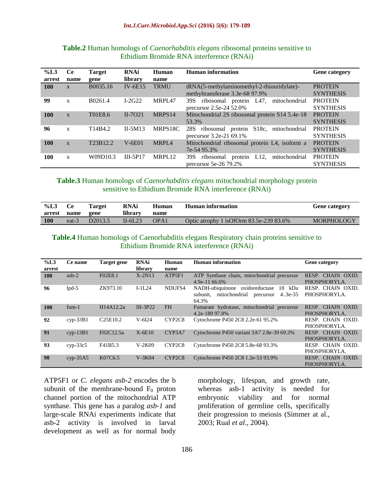| $\%L3$<br>arrest | <b>Ce</b><br>name | <b>Target</b><br>gene | <b>RNAi</b><br>library | Human<br>name | Human information                                                                       | <b>Gene category</b>               |
|------------------|-------------------|-----------------------|------------------------|---------------|-----------------------------------------------------------------------------------------|------------------------------------|
| 100              | $\mathbf{x}$      | B0035.16              | $IV-6E15$              | <b>TRMU</b>   | tRNA(5-methylaminomethyl-2-thiouridylate)-<br>methyltransferase 3.3e-68 97.9%           | <b>PROTEIN</b><br><b>SYNTHESIS</b> |
| 99               | X                 | B0261.4               | $I-2G22$               | MRPL47        | protein L47, mitochondrial<br>ribosomal<br>39S<br>precursor 2.5e-24 52.0%               | <b>PROTEIN</b><br><b>SYNTHESIS</b> |
| 100              | $\mathbf{x}$      | T01E8.6               | $II-7O21$              | MRPS14        | Mitochondrial 2S ribosomal protein S14 5.4e-18<br>53.3%                                 | <b>PROTEIN</b><br><b>SYNTHESIS</b> |
| 96               | $\mathbf{x}$      | T14B4.2               | $II-5M13$              | MRPS18C       | S <sub>18</sub> c, mitochondrial<br>ribosomal protein<br>28S<br>precursor 3.2e-21 69.1% | <b>PROTEIN</b><br><b>SYNTHESIS</b> |
| 100              | $\mathbf{x}$      | T23B12.2              | $V-6E01$               | MRPL4         | Mitochondrial ribosomal protein L4, isoform a<br>7e-54 95.3%                            | <b>PROTEIN</b><br><b>SYNTHESIS</b> |
| 100              | $\mathbf x$       | W09D10.3              | $III-5P17$             | MRPL12        | L12.<br>mitochondrial<br>protein<br>39S<br>ribosomal<br>precursor $5e-26$ 79.2%         | <b>PROTEIN</b><br><b>SYNTHESIS</b> |

#### **Table.2** Human homologs of *Caenorhabditis elegans* ribosomal proteins sensitive to Ethidium Bromide RNA interference (RNAi)

#### **Table.3** Human homologs of *Caenorhabditis elegans* mitochondrial morphology protein sensitive to Ethidium Bromide RNA interference (RNAi)

| %L3        | Ce    | <b>Target</b> | <b>RNAi</b> | Human | Human information                           | <b>Gene category</b> |
|------------|-------|---------------|-------------|-------|---------------------------------------------|----------------------|
| arrest     | name  | gene          | librarv     | name  |                                             |                      |
| <b>100</b> | eat-3 | D2013.5       | $II-6L23$   | OPA1  | Optic atrophy 1 is Of Orm $83.5e-23983.6\%$ | <b>MORPHOLOGY</b>    |

#### **Table.4** Human homologs of Caenorhabditis elegans Respiratory chain proteins sensitive to Ethidium Bromide RNA interference (RNAi)

| %L3    | Ce name                  | Target gene                       | <b>RNAi</b> | Human                           | Human information                                             | <b>Gene category</b>              |
|--------|--------------------------|-----------------------------------|-------------|---------------------------------|---------------------------------------------------------------|-----------------------------------|
| arrest |                          |                                   | library     | name                            |                                                               |                                   |
| 100    | $asb-2$                  | F02E8.1                           | $X-2N13$    | ATP5F1                          | ATP Synthase chain, mitochondrial precursor                   | RESP. CHAIN OXID.                 |
|        |                          |                                   |             |                                 | $4.9e-1166.6\%$                                               | PHOSPHORYLA.                      |
| 96     | $1p$ d $-5$              | ZK973.10                          | $I-1L24$    | NDUFS4                          | NADH-ubiquinone oxidoreductase<br>18 kDa                      | RESP. CHAIN OXID.                 |
|        |                          |                                   |             |                                 | mitochondrial<br>subunit.<br>precursor<br>$4.3e-35$<br>64.3%  | PHOSPHORYLA.                      |
| 100    | $f$ um $-1$              | H14A12.2a                         | $III-3P22$  | <b>FH</b>                       | Fumarate hydratase, mitochondrial precursor<br>4.2e-189 97.8% | RESP. CHAIN OXID.<br>PHOSPHORYLA. |
| 92     | $cvp-33B1$               | C <sub>25</sub> E <sub>10.2</sub> | $V-6I24$    | CYP <sub>2</sub> C <sub>8</sub> | Cytochrome P450 2C8 2.2e-61 95.2%                             | RESP. CHAIN OXID.<br>PHOSPHORYLA. |
| 91     | $cvp-13B1$               | F02C12.5a                         | $X-6E10$    | CYP3A7                          | Cytochrome P450 variant 3A7 2.8e-39 69.3%                     | RESP. CHAIN OXID.<br>PHOSPHORYLA. |
| 93     | $\text{cvp-}33\text{c}5$ | F41B5.3                           | $V-2K09$    | CYP2C8                          | Cytochrome P450 2C8 5.8e-68 93.3%                             | RESP. CHAIN OXID.                 |
|        |                          |                                   |             |                                 |                                                               | PHOSPHORYLA.                      |
| 98     | $\text{cyp-}35\text{A}5$ | K07C6.5                           | $V-3K04$    | CYP2C8                          | Cytochrome P450 2C8 1.2e-53 93.9%                             | RESP. CHAIN OXID.                 |
|        |                          |                                   |             |                                 |                                                               | PHOSPHORYLA.                      |

ATP5F1 or *C. elegans asb-2* encodes the b subunit of the membrane-bound  $F_0$  proton channel portion of the mitochondrial ATP synthase. This gene has a paralog *asb-1* and large-scale RNAi experiments indicate that asb-2 activity is involved in larval development as well as for normal body

morphology, lifespan, and growth rate, whereas asb-1 activity is needed for embryonic viability and for normal proliferation of germline cells, specifically their progression to meiosis (Simmer at al., 2003; Rual *et al*., 2004).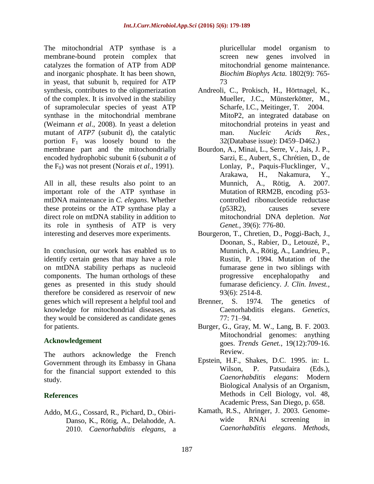The mitochondrial ATP synthase is a membrane-bound protein complex that catalyzes the formation of ATP from ADP and inorganic phosphate. It has been shown, in yeast, that subunit b, required for ATP synthesis, contributes to the oligomerization of the complex. It is involved in the stability of supramolecular species of yeast ATP synthase in the mitochondrial membrane (Weimann *et al*., 2008). In yeast a deletion mutant of *ATP7* (subunit d), the catalytic portion  $F_1$  was loosely bound to the membrane part and the mitochondrially encoded hydrophobic subunit 6 (subunit *a* of the F<sub>0</sub>) was not present (Norais *et al.*, 1991).

All in all, these results also point to an important role of the ATP synthase in mtDNA maintenance in *C. elegans*. Whether these proteins or the ATP synthase play a direct role on mtDNA stability in addition to its role in synthesis of ATP is very interesting and deserves more experiments.

In conclusion, our work has enabled us to identify certain genes that may have a role on mtDNA stability perhaps as nucleoid components. The human orthologs of these genes as presented in this study should therefore be considered as reservoir of new genes which will represent a helpful tool and knowledge for mitochondrial diseases, as they would be considered as candidate genes for patients.

## **Acknowledgement**

The authors acknowledge the French Government through its Embassy in Ghana for the financial support extended to this study.

## **References**

Addo, M.G., Cossard, R., Pichard, D., Obiri-Danso, K., Rötig, A., Delahodde, A. 2010. *Caenorhabditis elegans*, a pluricellular model organism to screen new genes involved in mitochondrial genome maintenance. *Biochim Biophys Acta.* 1802(9): 765- 73

- Andreoli, C., Prokisch, H., Hörtnagel, K., Mueller, J.C., Münsterkötter, M., Scharfe, I.C., Meitinger, T. 2004. MitoP2, an integrated database on mitochondrial proteins in yeast and man. *Nucleic Acids Res.,* 32(Database issue): D459–D462.)
- Bourdon, A., Minai, L., Serre, V., Jais, J. P., Sarzi, E., Aubert, S., Chrétien, D., de Lonlay, P., Paquis-Flucklinger, V., Arakawa, H., Nakamura, Y., Munnich, A., Rötig, A. 2007. Mutation of RRM2B, encoding p53 controlled ribonucleotide reductase (p53R2), causes severe mitochondrial DNA depletion. *Nat Genet.,* 39(6): 776-80.
- Bourgeron, T., Chretien, D., Poggi-Bach, J., Doonan, S., Rabier, D., Letouzé, P., Munnich, A., Rötig, A., Landrieu, P., Rustin, P. 1994. Mutation of the fumarase gene in two siblings with progressive encephalopathy and fumarase deficiency. *J. Clin. Invest.,* 93(6): 2514-8.
- Brenner, S. 1974. The genetics of Caenorhabditis elegans. *Genetics,* 77: 71–94.
- Burger, G., Gray, M. W., Lang, B. F. 2003. Mitochondrial genomes: anything goes. *Trends Genet.*, 19(12):709-16. Review.
- Epstein, H.F., Shakes, D.C. 1995. in: L. Wilson, P. Patsudaira (Eds.), *Caenorhabditis elegans*: Modern Biological Analysis of an Organism, Methods in Cell Biology, vol. 48, Academic Press, San Diego, p. 658.
- Kamath, R.S., Ahringer, J. 2003. Genomewide RNAi screening in *Caenorhabditis elegans*. *Methods*,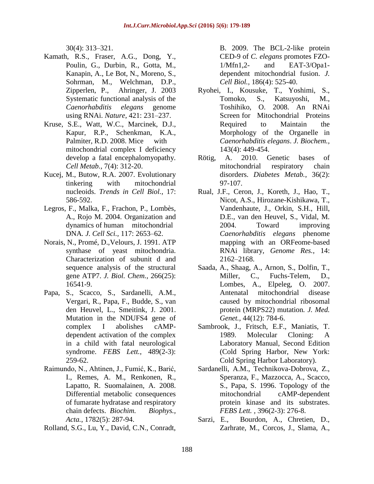30(4): 313–321.

- Kamath, R.S., Fraser, A.G., Dong, Y., Poulin, G., Durbin, R., Gotta, M., Kanapin, A., Le Bot, N., Moreno, S., Sohrman, M., Welchman, D.P., Zipperlen, P., Ahringer, J. 2003 Systematic functional analysis of the *Caenorhabditis elegans* genome using RNAi. *Nature*, 421: 231–237.
- Kruse, S.E., Watt, W.C., Marcinek, D.J., Kapur, R.P., Schenkman, K.A., Palmiter, R.D. 2008. Mice with mitochondrial complex I deficiency develop a fatal encephalomyopathy. *Cell Metab.,* 7(4): 312-20.
- Kucej, M., Butow, R.A. 2007. Evolutionary tinkering with mitochondrial nucleoids. *Trends in Cell Biol.,* 17: 586-592.
- Legros, F., Malka, F., Frachon, P., Lombès, A., Rojo M. 2004. Organization and dynamics of human mitochondrial DNA*. J. Cell Sci.,* 117: 2653–62.
- Norais, N., Promé, D.,Velours, J. 1991. ATP synthase of yeast mitochondria. Characterization of subunit d and sequence analysis of the structural gene ATP7. *J. Biol. Chem.,* 266(25): 16541-9.
- Papa, S., Scacco, S., Sardanelli, A.M., Vergari, R., Papa, F., Budde, S., van den Heuvel, L., Smeitink, J. 2001. Mutation in the NDUFS4 gene of complex I abolishes cAMPdependent activation of the complex in a child with fatal neurological syndrome. *FEBS Lett.*, 489(2-3): 259-62.
- Raimundo, N., Ahtinen, J., Fumić, K., Barić, I., Remes, A. M., Renkonen, R., Lapatto, R. Suomalainen, A. 2008. Differential metabolic consequences of fumarate hydratase and respiratory chain defects. *Biochim. Biophys., Acta.*, 1782(5): 287-94.
- Rolland, S.G., Lu, Y., David, C.N., Conradt,

B. 2009. The BCL-2-like protein CED-9 of *C. elegans* promotes FZO-1/Mfn1,2- and EAT-3/Opa1 dependent mitochondrial fusion. *J. Cell Biol.,* 186(4): 525-40.

- Ryohei, I., Kousuke, T., Yoshimi, S., Tomoko, S., Katsuyoshi, M., Toshihiko, O. 2008. An RNAi Screen for Mitochondrial Proteins Required to Maintain the Morphology of the Organelle in *Caenorhabditis elegans*. *J. Biochem.,* 143(4): 449-454.
- Rötig, A. 2010. Genetic bases of mitochondrial respiratory chain disorders. *Diabetes Metab.*, 36(2): 97-107.
- Rual, J.F., Ceron, J., Koreth, J., Hao, T., Nicot, A.S., Hirozane-Kishikawa, T., Vandenhaute, J., Orkin, S.H., Hill, D.E., van den Heuvel, S., Vidal, M. 2004. Toward improving *Caenorhabditis elegans* phenome mapping with an ORFeome-based RNAi library, *Genome Res.*, 14: 2162–2168.
- Saada, A., Shaag, A., Arnon, S., Dolfin, T., Miller, C., Fuchs-Telem, D., Lombes, A., Elpeleg, O. 2007. Antenatal mitochondrial disease caused by mitochondrial ribosomal protein (MRPS22) mutation*. J. Med. Genet.,* 44(12): 784-6.
- Sambrook, J., Fritsch, E.F., Maniatis, T. 1989. Molecular Cloning: A Laboratory Manual, Second Edition (Cold Spring Harbor, New York: Cold Spring Harbor Laboratory).
- Sardanelli, A.M., Technikova-Dobrova, Z., Speranza, F., Mazzocca, A., Scacco, S., Papa, S. 1996. Topology of the mitochondrial cAMP-dependent protein kinase and its substrates. *FEBS Lett. ,* 396(2-3): 276-8.
- Sarzi, E., Bourdon, A., Chretien, D., Zarhrate, M., Corcos, J., Slama, A.,